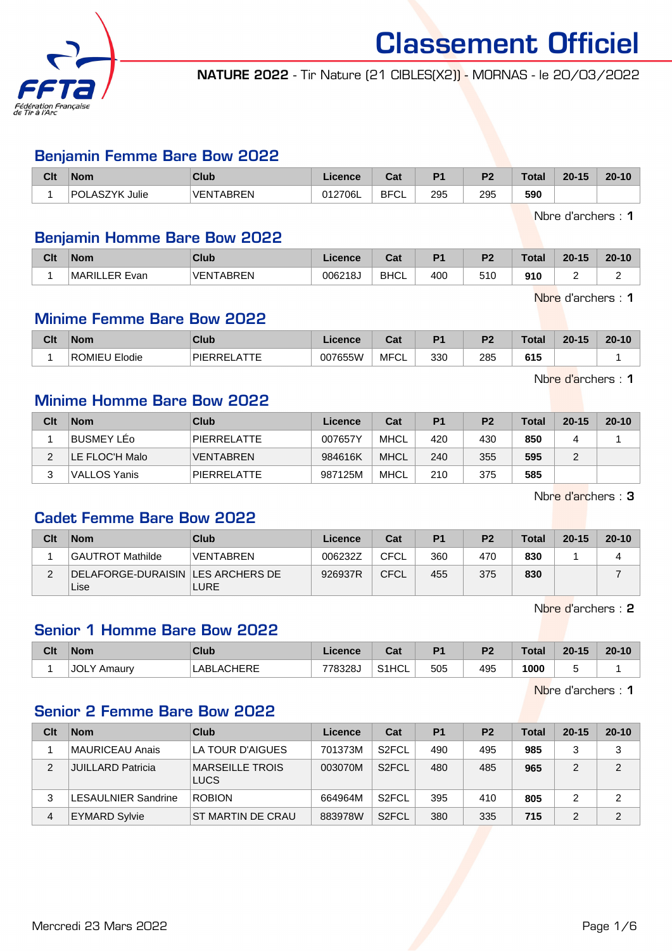

NATURE 2022 - Tir Nature (21 CIBLES(X2)) - MORNAS - le 20/03/2022

#### Benjamin Femme Bare Bow 2022

| Clt | <b>Nom</b>               | Club             | Licence | $R_{\rm{eff}}$<br>⊍a | D <sub>4</sub> | D0         | <b>Total</b> | $20 - 15$ | $20 - 10$ |
|-----|--------------------------|------------------|---------|----------------------|----------------|------------|--------------|-----------|-----------|
|     | <b>POLASZYK</b><br>Julie | <b>VENTARREN</b> | 012706L | <b>BFCI</b><br>◡∟    | 295<br>. .     | 295<br>- - | 590          |           |           |

Nbre d'archers : 1

## Benjamin Homme Bare Bow 2022

| Clt | Nom               | <b>Club</b>    | Licence | ∩~'<br>υαι  | D <sub>1</sub> | D <sub>2</sub> | <b>Total</b> | $20 - 15$ | $20 - 10$ |
|-----|-------------------|----------------|---------|-------------|----------------|----------------|--------------|-----------|-----------|
|     | MARIL<br>LER Evan | TARRFN<br>VFN1 | 006218J | <b>BHCL</b> | 400            | ی ا ب          | 910          |           |           |

Nbre d'archers : 1

Nbre d'archers : 1

## Minime Femme Bare Bow 2022

| <b>Clt</b> | Nom                     | Club                        | Licence | ∩~'<br>υαι | D <sub>1</sub> | D <sub>2</sub> | Total | $20 - 15$ | $20 - 10$ |
|------------|-------------------------|-----------------------------|---------|------------|----------------|----------------|-------|-----------|-----------|
|            | <b>ROMIEL</b><br>Elodie | <b>PIERREI</b><br>$- - - -$ | 007655W | MFCL       | 330            | 285<br>$-$     | 615   |           |           |

Minime Homme Bare Bow 2022

| Clt | <b>Nom</b>     | Club             | Licence | Cat  | P <sub>1</sub> | P <sub>2</sub> | Total | $20 - 15$ | $20 - 10$ |
|-----|----------------|------------------|---------|------|----------------|----------------|-------|-----------|-----------|
|     | BUSMEY LEo     | PIERRELATTE      | 007657Y | MHCL | 420            | 430            | 850   |           |           |
|     | LE FLOC'H Malo | <b>VENTABREN</b> | 984616K | MHCL | 240            | 355            | 595   |           |           |
|     | VALLOS Yanis   | PIERRELATTE      | 987125M | MHCL | 210            | 375            | 585   |           |           |

Nbre d'archers : 3

# Cadet Femme Bare Bow 2022

| Clt | <b>Nom</b>                                  | Club             | Licence | Cat         | P1  | P <sub>2</sub> | Total | $20 - 15$ | $20 - 10$ |
|-----|---------------------------------------------|------------------|---------|-------------|-----|----------------|-------|-----------|-----------|
|     | GAUTROT Mathilde                            | <b>VENTABREN</b> | 006232Z | <b>CFCL</b> | 360 | 470            | 830   |           |           |
|     | DELAFORGE-DURAISIN   LES ARCHERS DE<br>Lise | <b>LURE</b>      | 926937R | <b>CFCL</b> | 455 | 375            | 830   |           |           |

Nbre d'archers : 2

## Senior 1 Homme Bare Bow 2022

| Clt | <b>Nom</b>            | <b>Club</b>                       | Licence | $7-1$<br>ual       | D <sub>1</sub> | P <sub>2</sub> | <b>Total</b> | $20 - 15$ | $20 - 10$ |
|-----|-----------------------|-----------------------------------|---------|--------------------|----------------|----------------|--------------|-----------|-----------|
|     | <b>JOLY</b><br>Amaurv | <b>_ACHERE</b><br>' ABL,<br>™ ⊓∪. | 778328J | S <sub>1</sub> HCL | 505            | 495            | 1000         |           |           |

Nbre d'archers : 1

#### Senior 2 Femme Bare Bow 2022

| Clt            | <b>Nom</b>               | Club                                  | Licence | Cat                | P <sub>1</sub> | P <sub>2</sub> | <b>Total</b> | $20 - 15$ | $20 - 10$      |
|----------------|--------------------------|---------------------------------------|---------|--------------------|----------------|----------------|--------------|-----------|----------------|
|                | MAURICEAU Anais          | LA TOUR D'AIGUES                      | 701373M | S <sub>2</sub> FCL | 490            | 495            | 985          |           | 3              |
| 2              | <b>JUILLARD Patricia</b> | <b>MARSEILLE TROIS</b><br><b>LUCS</b> | 003070M | S <sub>2</sub> FCL | 480            | 485            | 965          | 2         | 2              |
| 3              | LESAULNIER Sandrine      | <b>ROBION</b>                         | 664964M | S <sub>2</sub> FCL | 395            | 410            | 805          | 2         | 2              |
| $\overline{4}$ | <b>EYMARD Sylvie</b>     | ST MARTIN DE CRAU                     | 883978W | S <sub>2</sub> FCL | 380            | 335            | 715          |           | $\mathfrak{p}$ |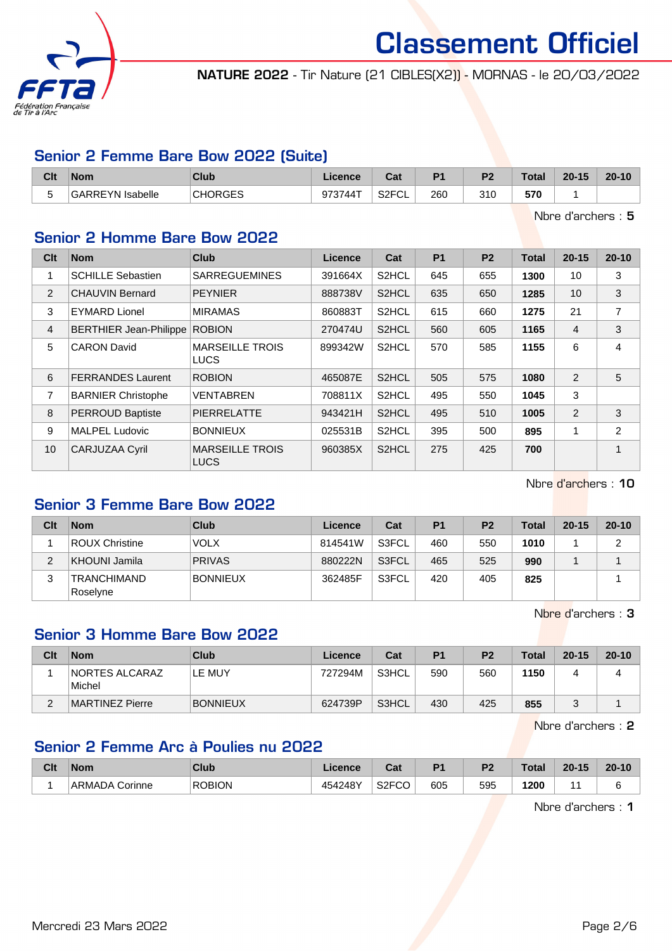

NATURE 2022 - Tir Nature (21 CIBLES(X2)) - MORNAS - le 20/03/2022

## Senior 2 Femme Bare Bow 2022 (Suite)

| Clt    | Nom                     | Club           | Licence | 2.4<br>⊍a                | D <sub>4</sub> | D <sub>2</sub> | <b>Total</b> | $20 - 15$ | $20 - 10$ |
|--------|-------------------------|----------------|---------|--------------------------|----------------|----------------|--------------|-----------|-----------|
| -<br>w | <b>GARREYN Isabelle</b> | <b>CHORGES</b> | 973744T | S <sub>2</sub> FCI<br>◡∟ | 260            | 310            | 570<br>$ -$  |           |           |

Nbre d'archers : 5

## Senior 2 Homme Bare Bow 2022

| Clt            | <b>Nom</b>                    | <b>Club</b>                           | Licence | Cat                | P <sub>1</sub> | P <sub>2</sub> | <b>Total</b> | $20 - 15$      | $20 - 10$      |
|----------------|-------------------------------|---------------------------------------|---------|--------------------|----------------|----------------|--------------|----------------|----------------|
| 1              | <b>SCHILLE Sebastien</b>      | <b>SARREGUEMINES</b>                  | 391664X | S <sub>2</sub> HCL | 645            | 655            | 1300         | 10             | 3              |
| 2              | <b>CHAUVIN Bernard</b>        | <b>PEYNIER</b>                        | 888738V | S2HCL              | 635            | 650            | 1285         | 10             | 3              |
| 3              | <b>EYMARD Lionel</b>          | <b>MIRAMAS</b>                        | 860883T | S2HCL              | 615            | 660            | 1275         | 21             | 7              |
| $\overline{4}$ | <b>BERTHIER Jean-Philippe</b> | <b>ROBION</b>                         | 270474U | S2HCL              | 560            | 605            | 1165         | $\overline{4}$ | 3              |
| 5              | <b>CARON David</b>            | <b>MARSEILLE TROIS</b><br><b>LUCS</b> | 899342W | S2HCL              | 570            | 585            | 1155         | 6              | 4              |
| 6              | <b>FERRANDES Laurent</b>      | <b>ROBION</b>                         | 465087E | S2HCL              | 505            | 575            | 1080         | 2              | 5              |
| 7              | <b>BARNIER Christophe</b>     | <b>VENTABREN</b>                      | 708811X | S2HCL              | 495            | 550            | 1045         | 3              |                |
| 8              | <b>PERROUD Baptiste</b>       | <b>PIERRELATTE</b>                    | 943421H | S2HCL              | 495            | 510            | 1005         | 2              | 3              |
| 9              | <b>MALPEL Ludovic</b>         | <b>BONNIEUX</b>                       | 025531B | S2HCL              | 395            | 500            | 895          |                | $\overline{c}$ |
| 10             | CARJUZAA Cyril                | <b>MARSEILLE TROIS</b><br><b>LUCS</b> | 960385X | S2HCL              | 275            | 425            | 700          |                | 1              |

Nbre d'archers : 10

# Senior 3 Femme Bare Bow 2022

| Clt | <b>Nom</b>                     | Club            | Licence | Cat   | P <sub>1</sub> | P <sub>2</sub> | Total | $20 - 15$ | $20 - 10$ |
|-----|--------------------------------|-----------------|---------|-------|----------------|----------------|-------|-----------|-----------|
|     | <b>ROUX Christine</b>          | <b>VOLX</b>     | 814541W | S3FCL | 460            | 550            | 1010  |           |           |
| ◠   | KHOUNI Jamila                  | <b>PRIVAS</b>   | 880222N | S3FCL | 465            | 525            | 990   |           |           |
| ت   | <b>TRANCHIMAND</b><br>Roselyne | <b>BONNIEUX</b> | 362485F | S3FCL | 420            | 405            | 825   |           |           |

Nbre d'archers : 3

## Senior 3 Homme Bare Bow 2022

| Clt      | <b>Nom</b>                       | <b>Club</b>     | Licence | Cat   | P1  | P <sub>2</sub> | <b>Total</b> | $20 - 15$ | $20 - 10$ |
|----------|----------------------------------|-----------------|---------|-------|-----|----------------|--------------|-----------|-----------|
|          | <b>INORTES ALCARAZ</b><br>Michel | LE MUY          | 727294M | S3HCL | 590 | 560            | 1150         |           |           |
| <u>.</u> | MARTINEZ Pierre                  | <b>BONNIEUX</b> | 624739P | S3HCL | 430 | 425            | 855          |           |           |

Nbre d'archers : 2

# Senior 2 Femme Arc à Poulies nu 2022

| Clt | <b>Nom</b>     | Club          | ∟icence | $\sim$<br>val      | D <sub>1</sub> | D <sub>2</sub> | <b>Total</b> | $20 - 15$ | $20 - 10$ |
|-----|----------------|---------------|---------|--------------------|----------------|----------------|--------------|-----------|-----------|
|     | ARMADA Corinne | <b>ROBION</b> | 454248Y | S <sub>2</sub> FCO | 605            | 595            | 1200         |           |           |

Nbre d'archers : 1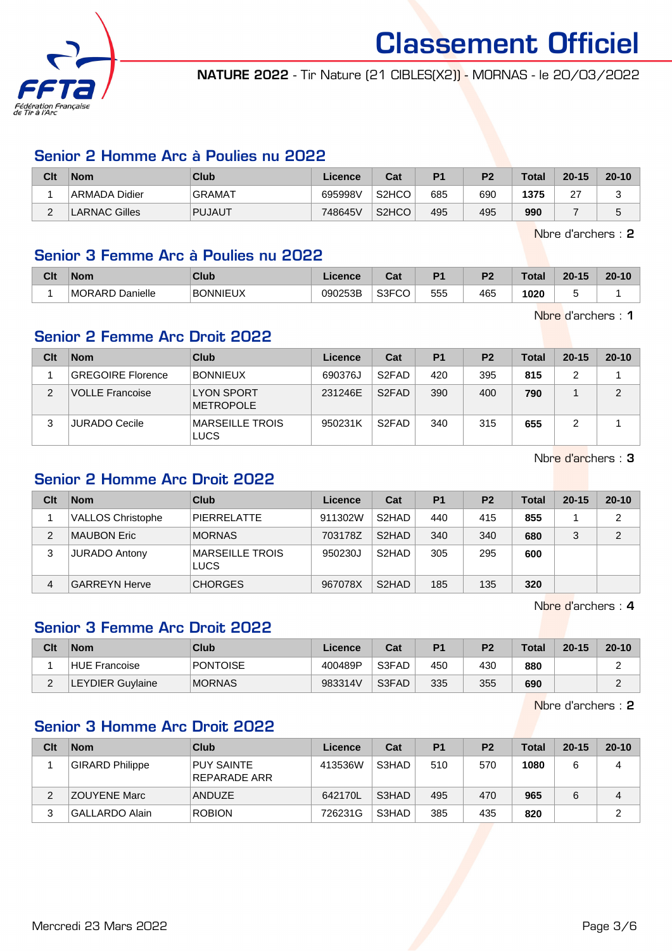

NATURE 2022 - Tir Nature (21 CIBLES(X2)) - MORNAS - le 20/03/2022

## Senior 2 Homme Arc à Poulies nu 2022

| Clt    | <b>Nom</b>    | <b>Club</b>   | Licence | Cat                | D <sub>1</sub> | P <sub>2</sub> | <b>Total</b> | $20 - 15$      | $20 - 10$ |
|--------|---------------|---------------|---------|--------------------|----------------|----------------|--------------|----------------|-----------|
|        | ARMADA Didier | <b>GRAMAT</b> | 695998V | S <sub>2</sub> HCO | 685            | 690            | 1375         | $\sim$<br>ا ہے |           |
| $\sim$ | LARNAC Gilles | <b>PUJAUT</b> | 748645V | S <sub>2</sub> HCO | 495            | 495            | 990          |                |           |

Nbre d'archers : 2

#### Senior 3 Femme Arc à Poulies nu 2022

| Clt | <b>Nom</b>                | <b>Club</b>     | <b>Licence</b> | ו הי<br>uai | D <sub>1</sub> | D <sub>2</sub> | 'otal | $20 - 15$ | $20 - 10$ |
|-----|---------------------------|-----------------|----------------|-------------|----------------|----------------|-------|-----------|-----------|
|     | Danielle<br><b>MORARD</b> | <b>BONNIEUX</b> | 090253B        | S3FCO<br>◡◡ | 555            | 465            | 1020  |           |           |

Nbre d'archers : 1

## Senior 2 Femme Arc Droit 2022

| Clt | <b>Nom</b>             | Club                                  | Licence | Cat                | P <sub>1</sub> | P <sub>2</sub> | Total | $20 - 15$ | $20 - 10$ |
|-----|------------------------|---------------------------------------|---------|--------------------|----------------|----------------|-------|-----------|-----------|
|     | GREGOIRE Florence      | <b>BONNIEUX</b>                       | 690376J | S <sub>2</sub> FAD | 420            | 395            | 815   |           |           |
| 2   | <b>VOLLE Francoise</b> | <b>LYON SPORT</b><br>METROPOLE        | 231246E | S <sub>2</sub> FAD | 390            | 400            | 790   |           | C         |
| ົ   | <b>JURADO Cecile</b>   | <b>MARSEILLE TROIS</b><br><b>LUCS</b> | 950231K | S <sub>2</sub> FAD | 340            | 315            | 655   |           |           |

Nbre d'archers : 3

# Senior 2 Homme Arc Droit 2022

| Clt | <b>Nom</b>               | Club                           | Licence | Cat                | P <sub>1</sub> | P <sub>2</sub> | Total | $20 - 15$ | $20 - 10$ |
|-----|--------------------------|--------------------------------|---------|--------------------|----------------|----------------|-------|-----------|-----------|
|     | <b>VALLOS Christophe</b> | PIFRRFI ATTF                   | 911302W | S <sub>2</sub> HAD | 440            | 415            | 855   |           | 2         |
| 2   | MAUBON Eric              | <b>MORNAS</b>                  | 703178Z | S <sub>2</sub> HAD | 340            | 340            | 680   |           | 2         |
| 3   | JURADO Antony            | MARSEILLE TROIS<br><b>LUCS</b> | 950230J | S <sub>2</sub> HAD | 305            | 295            | 600   |           |           |
| 4   | <b>GARREYN Herve</b>     | <b>CHORGES</b>                 | 967078X | S <sub>2</sub> HAD | 185            | 135            | 320   |           |           |

Nbre d'archers : 4

# Senior 3 Femme Arc Droit 2022

| Clt | <b>Nom</b>              | Club            | Licence | Cat   | P <sub>1</sub> | P <sub>2</sub> | <b>Total</b> | $20 - 15$ | $20 - 10$ |
|-----|-------------------------|-----------------|---------|-------|----------------|----------------|--------------|-----------|-----------|
|     | <b>HUE Francoise</b>    | <b>PONTOISE</b> | 400489P | S3FAD | 450            | 430            | 880          |           |           |
| ⌒   | <b>LEYDIER Guylaine</b> | <b>MORNAS</b>   | 983314V | S3FAD | 335            | 355            | 690          |           |           |

Nbre d'archers : 2

# Senior 3 Homme Arc Droit 2022

| Clt | <b>Nom</b>             | Club                              | Licence | Cat   | P <sub>1</sub> | P <sub>2</sub> | <b>Total</b> | $20 - 15$ | $20 - 10$ |
|-----|------------------------|-----------------------------------|---------|-------|----------------|----------------|--------------|-----------|-----------|
|     | <b>GIRARD Philippe</b> | <b>PUY SAINTE</b><br>REPARADE ARR | 413536W | S3HAD | 510            | 570            | 1080         | 6         | 4         |
| 2   | ZOUYENE Marc           | <b>ANDUZE</b>                     | 642170L | S3HAD | 495            | 470            | 965          | 6         | 4         |
| 3   | <b>GALLARDO Alain</b>  | <b>ROBION</b>                     | 726231G | S3HAD | 385            | 435            | 820          |           | າ         |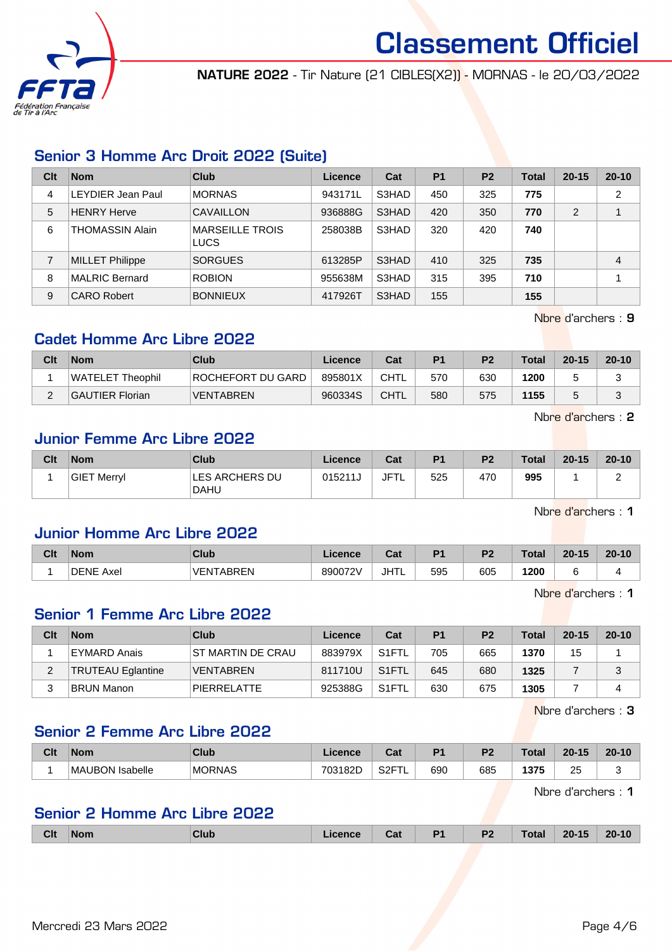

NATURE 2022 - Tir Nature (21 CIBLES(X2)) - MORNAS - le 20/03/2022

# Senior 3 Homme Arc Droit 2022 (Suite)

| Clt | <b>Nom</b>               | Club                                  | Licence | Cat   | <b>P1</b> | P <sub>2</sub> | Total | $20 - 15$      | $20 - 10$      |
|-----|--------------------------|---------------------------------------|---------|-------|-----------|----------------|-------|----------------|----------------|
| 4   | <b>LEYDIER Jean Paul</b> | <b>MORNAS</b>                         | 943171L | S3HAD | 450       | 325            | 775   |                | $\overline{2}$ |
| 5   | <b>HENRY Herve</b>       | CAVAILLON                             | 936888G | S3HAD | 420       | 350            | 770   | $\mathfrak{p}$ |                |
| 6   | <b>THOMASSIN Alain</b>   | <b>MARSEILLE TROIS</b><br><b>LUCS</b> | 258038B | S3HAD | 320       | 420            | 740   |                |                |
|     | <b>MILLET Philippe</b>   | <b>SORGUES</b>                        | 613285P | S3HAD | 410       | 325            | 735   |                | 4              |
| 8   | <b>MALRIC Bernard</b>    | <b>ROBION</b>                         | 955638M | S3HAD | 315       | 395            | 710   |                |                |
| 9   | <b>CARO Robert</b>       | <b>BONNIEUX</b>                       | 417926T | S3HAD | 155       |                | 155   |                |                |

Nbre d'archers : 9

## Cadet Homme Arc Libre 2022

| Clt | <b>Nom</b>             | Club              | Licence | Cat         | P <sub>1</sub> | P <sub>2</sub> | <b>Total</b> | $20 - 15$ | $20 - 10$ |
|-----|------------------------|-------------------|---------|-------------|----------------|----------------|--------------|-----------|-----------|
|     | WATELET Theophil       | ROCHEFORT DU GARD | 895801X | CHTL        | 570            | 630            | 1200         |           |           |
|     | <b>GAUTIER Florian</b> | <b>VENTABREN</b>  | 960334S | <b>CHTL</b> | 580            | 575            | 1155         |           |           |

Nbre d'archers : 2

## Junior Femme Arc Libre 2022

| Clt | $\mathsf{Nom}$     | Club                                 | Licence | Cat         | P <sub>1</sub> | P <sub>2</sub> | <b>Total</b> | $20 - 15$ | $20 - 10$ |
|-----|--------------------|--------------------------------------|---------|-------------|----------------|----------------|--------------|-----------|-----------|
|     | <b>GIET Merryl</b> | <b>LES ARCHERS DU</b><br><b>DAHU</b> | 015211J | <b>JFTL</b> | 525            | 470            | 995          |           |           |

Nbre d'archers : 1

## Junior Homme Arc Libre 2022

| Clt | <b>Nom</b>          | <b>Club</b>      | <b>licence</b> | Cat  | D4  | Dr. | Total | $20 - 15$ | $20 - 10$ |
|-----|---------------------|------------------|----------------|------|-----|-----|-------|-----------|-----------|
|     | <b>DENE</b><br>Axel | <b>VENTABREN</b> | 890072V        | JHTL | 595 | 605 | 1200  |           |           |

Nbre d'archers : 1

# Senior 1 Femme Arc Libre 2022

| Clt | <b>Nom</b>               | Club                     | Licence | Cat                | P <sub>1</sub> | P <sub>2</sub> | Total | $20 - 15$ | $20 - 10$ |
|-----|--------------------------|--------------------------|---------|--------------------|----------------|----------------|-------|-----------|-----------|
|     | EYMARD Anais             | <b>ST MARTIN DE CRAU</b> | 883979X | S <sub>1</sub> FTL | 705            | 665            | 1370  | 15        |           |
| ∠   | <b>TRUTEAU Eglantine</b> | <b>VENTABREN</b>         | 811710U | S <sub>1</sub> FTL | 645            | 680            | 1325  |           | J         |
|     | <b>BRUN Manon</b>        | <b>PIERRELATTE</b>       | 925388G | S <sub>1</sub> FTL | 630            | 675            | 1305  |           |           |

Nbre d'archers : 3

## Senior 2 Femme Arc Libre 2022

| Clt | Nom                       | <b>Club</b>   | <b>cence</b><br>∟ıu       | <b>That</b><br>uai | D4  | DC. | <b>Total</b> | $-4E$<br>20 <sub>1</sub> | $20 -$<br>10۰ |
|-----|---------------------------|---------------|---------------------------|--------------------|-----|-----|--------------|--------------------------|---------------|
|     | <b>MAUBON</b><br>Isabelle | <b>MORNAS</b> | חמסו<br>702<br>w<br>∟∠ه ۱ | 0.05<br>ا∠ت<br>--  | 690 | 685 | 1375         | つに<br>∼                  |               |

Nbre d'archers : 1

## Senior 2 Homme Arc Libre 2022

|  | <b>Clt</b> | ∣Nom | Club | icence | Cat | D <sub>1</sub> | P <sub>2</sub> | <b>Total</b> | $20 - 15$ | $20 - 10$ |
|--|------------|------|------|--------|-----|----------------|----------------|--------------|-----------|-----------|
|--|------------|------|------|--------|-----|----------------|----------------|--------------|-----------|-----------|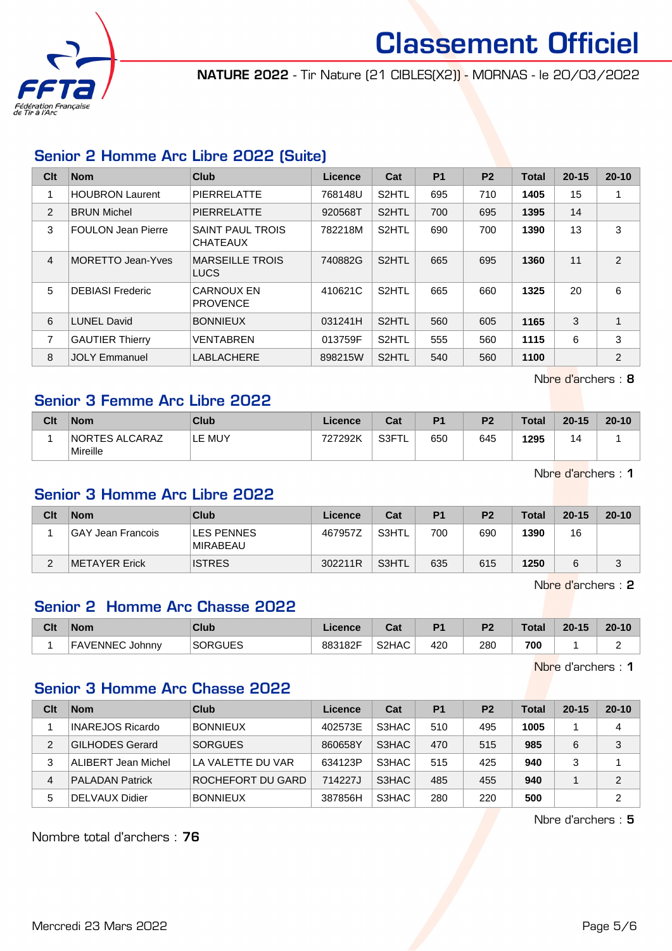

NATURE 2022 - Tir Nature (21 CIBLES(X2)) - MORNAS - le 20/03/2022

## Senior 2 Homme Arc Libre 2022 (Suite)

| Clt            | <b>Nom</b>                | Club                                       | <b>Licence</b> | Cat                | P <sub>1</sub> | P <sub>2</sub> | Total | $20 - 15$ | $20 - 10$    |
|----------------|---------------------------|--------------------------------------------|----------------|--------------------|----------------|----------------|-------|-----------|--------------|
|                | <b>HOUBRON Laurent</b>    | PIERRELATTE                                | 768148U        | S <sub>2</sub> HTL | 695            | 710            | 1405  | 15        | 1            |
| 2              | <b>BRUN Michel</b>        | <b>PIERRELATTE</b>                         | 920568T        | S <sub>2</sub> HTL | 700            | 695            | 1395  | 14        |              |
| 3              | <b>FOULON Jean Pierre</b> | <b>SAINT PAUL TROIS</b><br><b>CHATEAUX</b> | 782218M        | S <sub>2</sub> HTL | 690            | 700            | 1390  | 13        | 3            |
| $\overline{4}$ | <b>MORETTO Jean-Yves</b>  | <b>MARSEILLE TROIS</b><br>LUCS             | 740882G        | S <sub>2</sub> HTL | 665            | 695            | 1360  | 11        | 2            |
| 5              | <b>DEBIASI Frederic</b>   | <b>CARNOUX EN</b><br><b>PROVENCE</b>       | 410621C        | S <sub>2</sub> HTL | 665            | 660            | 1325  | 20        | 6            |
| 6              | <b>LUNEL David</b>        | <b>BONNIEUX</b>                            | 031241H        | S <sub>2</sub> HTL | 560            | 605            | 1165  | 3         | $\mathbf{1}$ |
| 7              | <b>GAUTIER Thierry</b>    | VENTABREN                                  | 013759F        | S <sub>2</sub> HTL | 555            | 560            | 1115  | 6         | 3            |
| 8              | <b>JOLY Emmanuel</b>      | <b>LABLACHERE</b>                          | 898215W        | S <sub>2</sub> HTL | 540            | 560            | 1100  |           | 2            |

Senior 3 Femme Arc Libre 2022

| Clt | <b>Nom</b>                        | Club   | Licence | Cat               | D <sub>1</sub> | P <sub>2</sub> | <b>Total</b> | $20 - 15$ | $20 - 10$ |
|-----|-----------------------------------|--------|---------|-------------------|----------------|----------------|--------------|-----------|-----------|
|     | <b>NORTES ALCARAZ</b><br>Mireille | LE MUY | 727292K | S <sub>3</sub> FT | 650            | 645            | 1295         | 14        |           |

Nbre d'archers : 1

Nbre d'archers : 8

## Senior 3 Homme Arc Libre 2022

| Clt | <b>Nom</b>          | Club                          | Licence | Cat   | P <sub>1</sub> | P <sub>2</sub> | <b>Total</b> | $20 - 15$ | $20 - 10$ |
|-----|---------------------|-------------------------------|---------|-------|----------------|----------------|--------------|-----------|-----------|
|     | ∣GAY Jean Francois. | LES PENNES<br><b>MIRABEAU</b> | 467957Z | S3HTL | 700            | 690            | 1390         | 16        |           |
| ົ   | METAYER Erick       | <b>ISTRES</b>                 | 302211R | S3HTL | 635            | 615            | 1250         |           | ື         |

Nbre d'archers : 2

## Senior 2 Homme Arc Chasse 2022

| Clt | <b>Nom</b>             | <b>Club</b>    | Licence | <b>The State of Street</b><br>ual | D <sub>4</sub> | ng. | Total | $20 - 15$ | $20 - 10$ |
|-----|------------------------|----------------|---------|-----------------------------------|----------------|-----|-------|-----------|-----------|
|     | <b>FAVENNEC Johnny</b> | <b>SORGUES</b> | 883182F | S <sub>2</sub> H <sub>A</sub> C   | 420            | 280 | 700   |           |           |

Nbre d'archers : 1

# Senior 3 Homme Arc Chasse 2022

| Clt | <b>Nom</b>              | Club              | Licence | Cat   | P <sub>1</sub> | P <sub>2</sub> | Total | $20 - 15$ | $20 - 10$ |
|-----|-------------------------|-------------------|---------|-------|----------------|----------------|-------|-----------|-----------|
|     | <b>INAREJOS Ricardo</b> | <b>BONNIEUX</b>   | 402573E | S3HAC | 510            | 495            | 1005  |           | 4         |
| 2   | <b>GILHODES Gerard</b>  | <b>SORGUES</b>    | 860658Y | S3HAC | 470            | 515            | 985   | 6         | 3         |
| 3   | ALIBERT Jean Michel     | LA VALETTE DU VAR | 634123P | S3HAC | 515            | 425            | 940   |           |           |
| 4   | <b>PALADAN Patrick</b>  | ROCHEFORT DU GARD | 714227J | S3HAC | 485            | 455            | 940   |           | 2         |
| 5   | DELVAUX Didier          | <b>BONNIEUX</b>   | 387856H | S3HAC | 280            | 220            | 500   |           | 2         |

Nbre d'archers : 5

Nombre total d'archers : 76